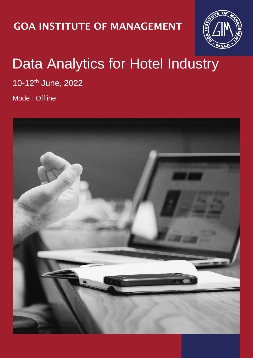### GOA INSTITUTE OF MANAGEMENT



## Data Analytics for Hotel Industry

10-12th June, 2022

Mode : Offline

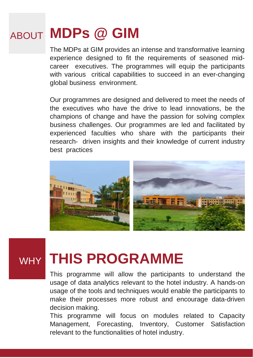## ABOUT **MDPs @ GIM**

The MDPs at GIM provides an intense and transformative learning experience designed to fit the requirements of seasoned midcareer executives. The programmes will equip the participants with various critical capabilities to succeed in an ever-changing global business environment.

Our programmes are designed and delivered to meet the needs of the executives who have the drive to lead innovations, be the champions of change and have the passion for solving complex business challenges. Our programmes are led and facilitated by experienced faculties who share with the participants their research- driven insights and their knowledge of current industry best practices



## WHY **THIS PROGRAMME**

This programme will allow the participants to understand the usage of data analytics relevant to the hotel industry. A hands-on usage of the tools and techniques would enable the participants to make their processes more robust and encourage data-driven decision making.

This programme will focus on modules related to Capacity Management, Forecasting, Inventory, Customer Satisfaction relevant to the functionalities of hotel industry.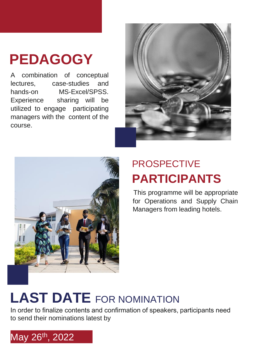# **PEDAGOGY**

A combination of conceptual lectures, case-studies and hands-on MS-Excel/SPSS. Experience sharing will be utilized to engage participating managers with the content of the course.





### PROSPECTIVE **PARTICIPANTS**

This programme will be appropriate for Operations and Supply Chain Managers from leading hotels.

# **LAST DATE** FOR NOMINATION

In order to finalize contents and confirmation of speakers, participants need to send their nominations latest by

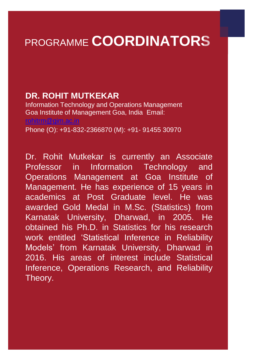## PROGRAMME **COORDINATORS**

#### **DR. ROHIT MUTKEKAR**

Information Technology and Operations Management Goa Institute of Management Goa, India Email: rohitrm@gim.ac.in Phone (O): +91-832-2366870 (M): +91- 91455 30970

Dr. Rohit Mutkekar is currently an Associate Professor in Information Technology and Operations Management at Goa Institute of Management. He has experience of 15 years in academics at Post Graduate level. He was awarded Gold Medal in M.Sc. (Statistics) from Karnatak University, Dharwad, in 2005. He obtained his Ph.D. in Statistics for his research work entitled 'Statistical Inference in Reliability Models' from Karnatak University, Dharwad in 2016. His areas of interest include Statistical Inference, Operations Research, and Reliability Theory.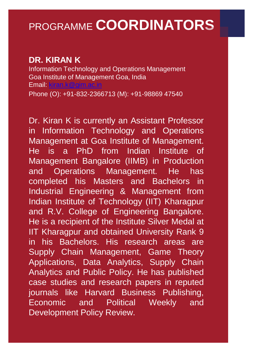### PROGRAMME **COORDINATORS**

#### **DR. KIRAN K**

Information Technology and Operations Management Goa Institute of Management Goa, India Email: kiran.k@gim.ac.in Phone (O): +91-832-2366713 (M): +91-98869 47540

Dr. Kiran K is currently an Assistant Professor in Information Technology and Operations Management at Goa Institute of Management. He is a PhD from Indian Institute of Management Bangalore (IIMB) in Production and Operations Management. He has completed his Masters and Bachelors in Industrial Engineering & Management from Indian Institute of Technology (IIT) Kharagpur and R.V. College of Engineering Bangalore. He is a recipient of the Institute Silver Medal at IIT Kharagpur and obtained University Rank 9 in his Bachelors. His research areas are Supply Chain Management, Game Theory Applications, Data Analytics, Supply Chain Analytics and Public Policy. He has published case studies and research papers in reputed journals like Harvard Business Publishing, Economic and Political Weekly and Development Policy Review.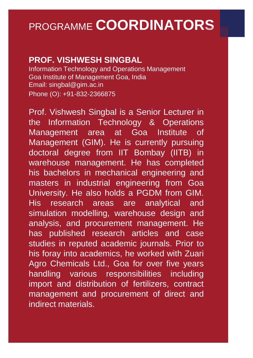### PROGRAMME **COORDINATORS**

#### **PROF. VISHWESH SINGBAL**

Information Technology and Operations Management Goa Institute of Management Goa, India Email: singbal@gim.ac.in Phone (O): +91-832-2366875

Prof. Vishwesh Singbal is a Senior Lecturer in the Information Technology & Operations Management area at Goa Institute of Management (GIM). He is currently pursuing doctoral degree from IIT Bombay (IITB) in warehouse management. He has completed his bachelors in mechanical engineering and masters in industrial engineering from Goa University. He also holds a PGDM from GIM. His research areas are analytical and simulation modelling, warehouse design and analysis, and procurement management. He has published research articles and case studies in reputed academic journals. Prior to his foray into academics, he worked with Zuari Agro Chemicals Ltd., Goa for over five years handling various responsibilities including import and distribution of fertilizers, contract management and procurement of direct and indirect materials.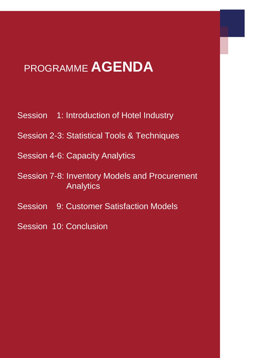## PROGRAMME **AGENDA**

- Session 1: Introduction of Hotel Industry
- Session 2-3: Statistical Tools & Techniques
- Session 4-6: Capacity Analytics
- Session 7-8: Inventory Models and Procurement **Analytics**
- Session 9: Customer Satisfaction Models
- Session 10: Conclusion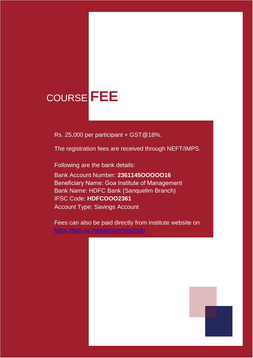### COURSE FEE COURSE **FEE**

**SPONSORSHIP** Rs. 25,000 per participant + GST@18%.

**AND** 

The registration fees are received through NEFT/IMPS.

**RS. 6,000 per participant. The fee covers participant. The fee covers in Following are the bank details:** 

**IFSC Code HDFCOOO2361** Account Type Savings Account

tuition and count Number: **2361145OOOOO16 Registration fees are received through through Heneficiary Name: Goa Institute of Management Following are the bank details are the bank details are the bank details:** Bank Name: HDFC Bank (Sanquelim Branch) IFSC Code: **HDFCOOO2361**

Fees can also be paid directly from institute website on Management Bank Name H<mark><https://gim.ac.in/programmes/mdp></mark>